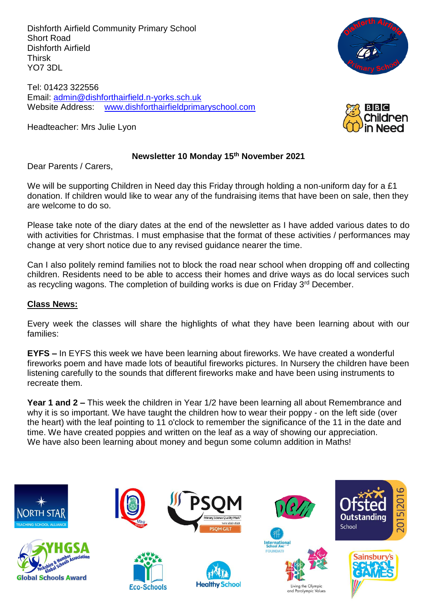Dishforth Airfield Community Primary School Short Road Dishforth Airfield Thirsk YO7 3DL

Tel: 01423 322556 Email: [admin@dishforthairfield.n-yorks.sch.uk](mailto:admin@dishforthairfield.n-yorks.sch.uk) Website Address: [www.dishforthairfieldprimaryschool.com](http://www.dishforthairfieldprimaryschool.com/)

Headteacher: Mrs Julie Lyon



#### **Newsletter 10 Monday 15th November 2021**

Dear Parents / Carers,

We will be supporting Children in Need day this Friday through holding a non-uniform day for a £1 donation. If children would like to wear any of the fundraising items that have been on sale, then they are welcome to do so.

Please take note of the diary dates at the end of the newsletter as I have added various dates to do with activities for Christmas. I must emphasise that the format of these activities / performances may change at very short notice due to any revised guidance nearer the time.

Can I also politely remind families not to block the road near school when dropping off and collecting children. Residents need to be able to access their homes and drive ways as do local services such as recycling wagons. The completion of building works is due on Friday 3<sup>rd</sup> December.

## **Class News:**

Every week the classes will share the highlights of what they have been learning about with our families:

**EYFS –** In EYFS this week we have been learning about fireworks. We have created a wonderful fireworks poem and have made lots of beautiful fireworks pictures. In Nursery the children have been listening carefully to the sounds that different fireworks make and have been using instruments to recreate them.

**Year 1 and 2 –** This week the children in Year 1/2 have been learning all about Remembrance and why it is so important. We have taught the children how to wear their poppy - on the left side (over the heart) with the leaf pointing to 11 o'clock to remember the significance of the 11 in the date and time. We have created poppies and written on the leaf as a way of showing our appreciation. We have also been learning about money and begun some column addition in Maths!

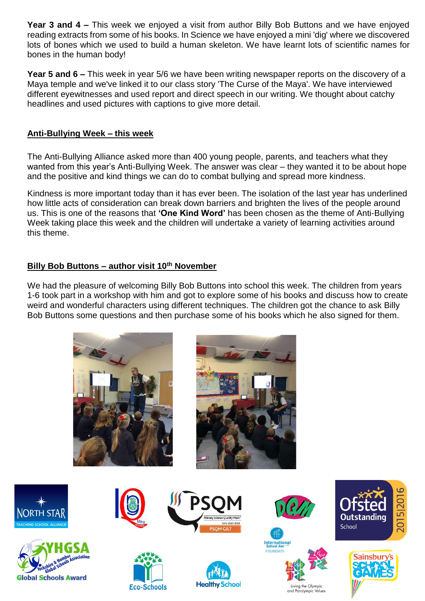**Year 3 and 4 –** This week we enjoyed a visit from author Billy Bob Buttons and we have enjoyed reading extracts from some of his books. In Science we have enjoyed a mini 'dig' where we discovered lots of bones which we used to build a human skeleton. We have learnt lots of scientific names for bones in the human body!

**Year 5 and 6 –** This week in year 5/6 we have been writing newspaper reports on the discovery of a Maya temple and we've linked it to our class story 'The Curse of the Maya'. We have interviewed different eyewitnesses and used report and direct speech in our writing. We thought about catchy headlines and used pictures with captions to give more detail.

# **Anti-Bullying Week – this week**

The Anti-Bullying Alliance asked more than 400 young people, parents, and teachers what they wanted from this year's Anti-Bullying Week. The answer was clear – they wanted it to be about hope and the positive and kind things we can do to combat bullying and spread more kindness.

Kindness is more important today than it has ever been. The isolation of the last year has underlined how little acts of consideration can break down barriers and brighten the lives of the people around us. This is one of the reasons that **'One Kind Word'** has been chosen as the theme of Anti-Bullying Week taking place this week and the children will undertake a variety of learning activities around this theme.

# **Billy Bob Buttons – author visit 10th November**

We had the pleasure of welcoming Billy Bob Buttons into school this week. The children from years 1-6 took part in a workshop with him and got to explore some of his books and discuss how to create weird and wonderful characters using different techniques. The children got the chance to ask Billy Bob Buttons some questions and then purchase some of his books which he also signed for them.

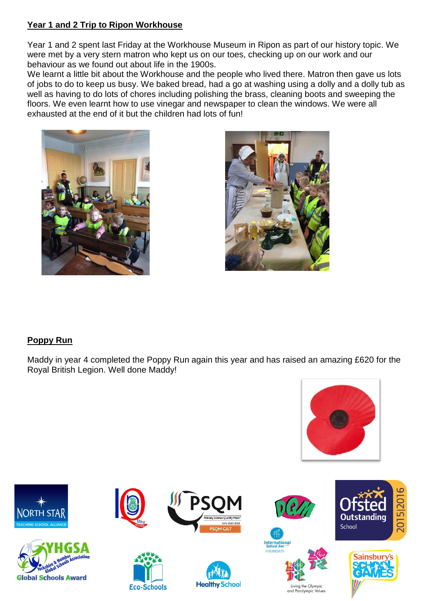# **Year 1 and 2 Trip to Ripon Workhouse**

Year 1 and 2 spent last Friday at the Workhouse Museum in Ripon as part of our history topic. We were met by a very stern matron who kept us on our toes, checking up on our work and our behaviour as we found out about life in the 1900s.

We learnt a little bit about the Workhouse and the people who lived there. Matron then gave us lots of jobs to do to keep us busy. We baked bread, had a go at washing using a dolly and a dolly tub as well as having to do lots of chores including polishing the brass, cleaning boots and sweeping the floors. We even learnt how to use vinegar and newspaper to clean the windows. We were all exhausted at the end of it but the children had lots of fun!





# **Poppy Run**

Maddy in year 4 completed the Poppy Run again this year and has raised an amazing £620 for the Royal British Legion. Well done Maddy!









**Eco-Schools** 













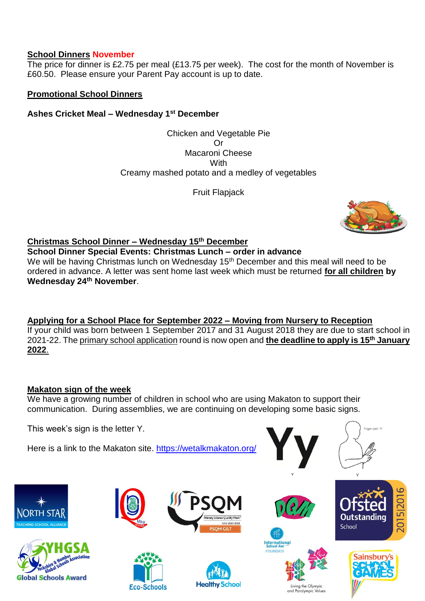## **School Dinners November**

The price for dinner is £2.75 per meal (£13.75 per week). The cost for the month of November is £60.50. Please ensure your Parent Pay account is up to date.

## **Promotional School Dinners**

# **Ashes Cricket Meal – Wednesday 1st December**

Chicken and Vegetable Pie Or Macaroni Cheese With Creamy mashed potato and a medley of vegetables

Fruit Flapjack



# **Christmas School Dinner – Wednesday 15th December**

**School Dinner Special Events: Christmas Lunch – order in advance** 

We will be having Christmas lunch on Wednesday 15<sup>th</sup> December and this meal will need to be ordered in advance. A letter was sent home last week which must be returned **for all children by Wednesday 24th November**.

**Applying for a School Place for September 2022 – Moving from Nursery to Reception** If your child was born between 1 September 2017 and 31 August 2018 they are due to start school in 2021-22. Th[e primary school application](https://www.northyorks.gov.uk/applying-place-primary-school) round is now open and **the deadline to apply is 15th January 2022**.

# **Makaton sign of the week**

We have a growing number of children in school who are using Makaton to support their communication. During assemblies, we are continuing on developing some basic signs.

This week's sign is the letter Y.

Here is a link to the Makaton site.<https://wetalkmakaton.org/>











**Eco-Schools** 









Living the Olympic and Paralympic Values



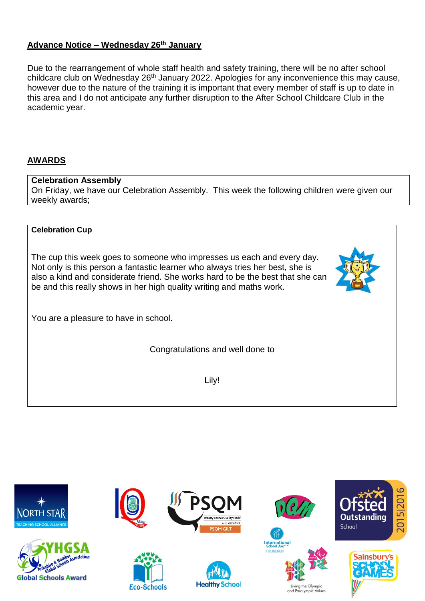# **Advance Notice – Wednesday 26th January**

Due to the rearrangement of whole staff health and safety training, there will be no after school childcare club on Wednesday 26<sup>th</sup> January 2022. Apologies for any inconvenience this may cause, however due to the nature of the training it is important that every member of staff is up to date in this area and I do not anticipate any further disruption to the After School Childcare Club in the academic year.

# **AWARDS**

#### **Celebration Assembly**

On Friday, we have our Celebration Assembly. This week the following children were given our weekly awards;

#### **Celebration Cup**

The cup this week goes to someone who impresses us each and every day. Not only is this person a fantastic learner who always tries her best, she is also a kind and considerate friend. She works hard to be the best that she can be and this really shows in her high quality writing and maths work.

You are a pleasure to have in school.

Congratulations and well done to

Lily!

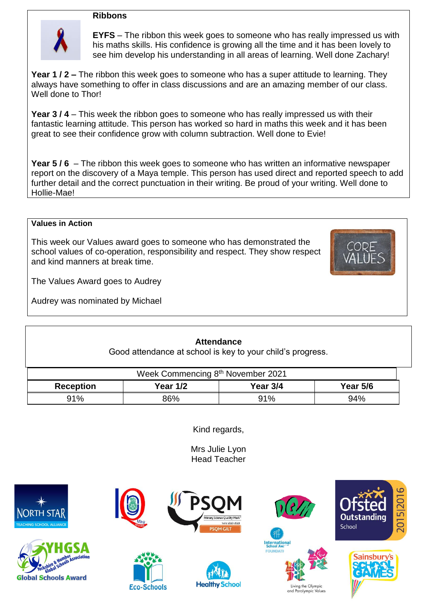#### **Ribbons**



**EYFS** – The ribbon this week goes to someone who has really impressed us with his maths skills. His confidence is growing all the time and it has been lovely to see him develop his understanding in all areas of learning. Well done Zachary!

**Year 1 / 2 –** The ribbon this week goes to someone who has a super attitude to learning. They always have something to offer in class discussions and are an amazing member of our class. Well done to Thor!

**Year 3 / 4** – This week the ribbon goes to someone who has really impressed us with their fantastic learning attitude. This person has worked so hard in maths this week and it has been great to see their confidence grow with column subtraction. Well done to Evie!

**Year 5 / 6** – The ribbon this week goes to someone who has written an informative newspaper report on the discovery of a Maya temple. This person has used direct and reported speech to add further detail and the correct punctuation in their writing. Be proud of your writing. Well done to Hollie-Mae!

#### **Values in Action**

This week our Values award goes to someone who has demonstrated the school values of co-operation, responsibility and respect. They show respect and kind manners at break time.



The Values Award goes to Audrey

Audrey was nominated by Michael

# **Attendance**

Good attendance at school is key to your child's progress.

| Week Commencing 8th November 2021 |                 |          |                 |  |  |  |
|-----------------------------------|-----------------|----------|-----------------|--|--|--|
| <b>Reception</b>                  | <b>Year 1/2</b> | Year 3/4 | <b>Year 5/6</b> |  |  |  |
| 91%                               | 86%             | 91%      | 94%             |  |  |  |

Kind regards,

Mrs Julie Lyon Head Teacher







**Eco-Schools** 







ng the Olympic

and Paralympic